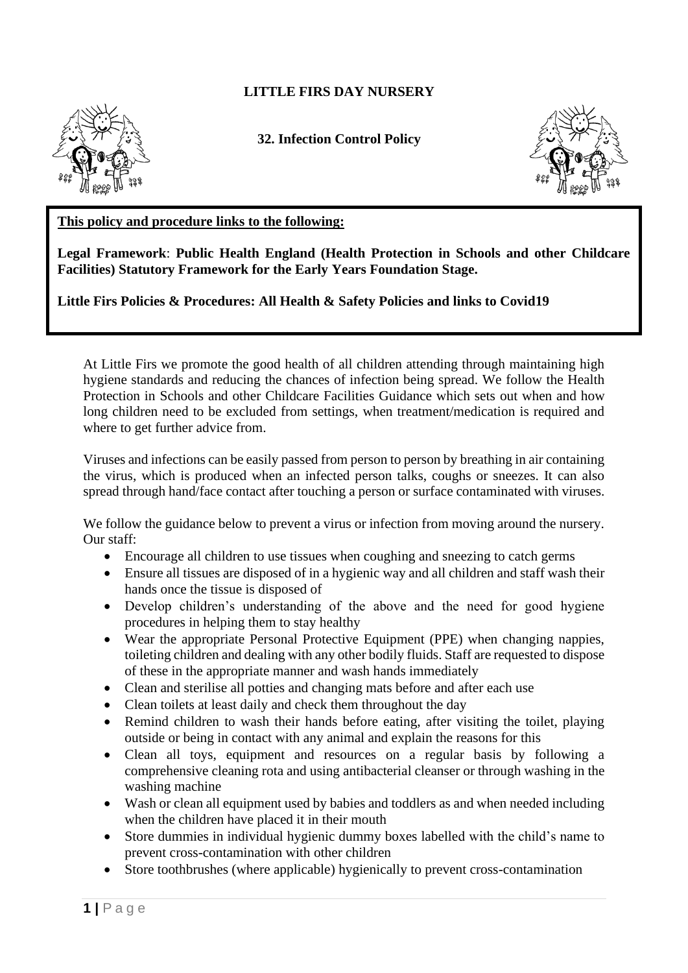## **LITTLE FIRS DAY NURSERY**



**32. Infection Control Policy**



## **This policy and procedure links to the following:**

**Legal Framework**: **Public Health England (Health Protection in Schools and other Childcare Facilities) Statutory Framework for the Early Years Foundation Stage.**

**Little Firs Policies & Procedures: All Health & Safety Policies and links to Covid19**

At Little Firs we promote the good health of all children attending through maintaining high hygiene standards and reducing the chances of infection being spread. We follow the Health Protection in Schools and other Childcare Facilities Guidance which sets out when and how long children need to be excluded from settings, when treatment/medication is required and where to get further advice from.

Viruses and infections can be easily passed from person to person by breathing in air containing the virus, which is produced when an infected person talks, coughs or sneezes. It can also spread through hand/face contact after touching a person or surface contaminated with viruses.

We follow the guidance below to prevent a virus or infection from moving around the nursery. Our staff:

- Encourage all children to use tissues when coughing and sneezing to catch germs
- Ensure all tissues are disposed of in a hygienic way and all children and staff wash their hands once the tissue is disposed of
- Develop children's understanding of the above and the need for good hygiene procedures in helping them to stay healthy
- Wear the appropriate Personal Protective Equipment (PPE) when changing nappies, toileting children and dealing with any other bodily fluids. Staff are requested to dispose of these in the appropriate manner and wash hands immediately
- Clean and sterilise all potties and changing mats before and after each use
- Clean toilets at least daily and check them throughout the day
- Remind children to wash their hands before eating, after visiting the toilet, playing outside or being in contact with any animal and explain the reasons for this
- Clean all toys, equipment and resources on a regular basis by following a comprehensive cleaning rota and using antibacterial cleanser or through washing in the washing machine
- Wash or clean all equipment used by babies and toddlers as and when needed including when the children have placed it in their mouth
- Store dummies in individual hygienic dummy boxes labelled with the child's name to prevent cross-contamination with other children
- Store toothbrushes (where applicable) hygienically to prevent cross-contamination